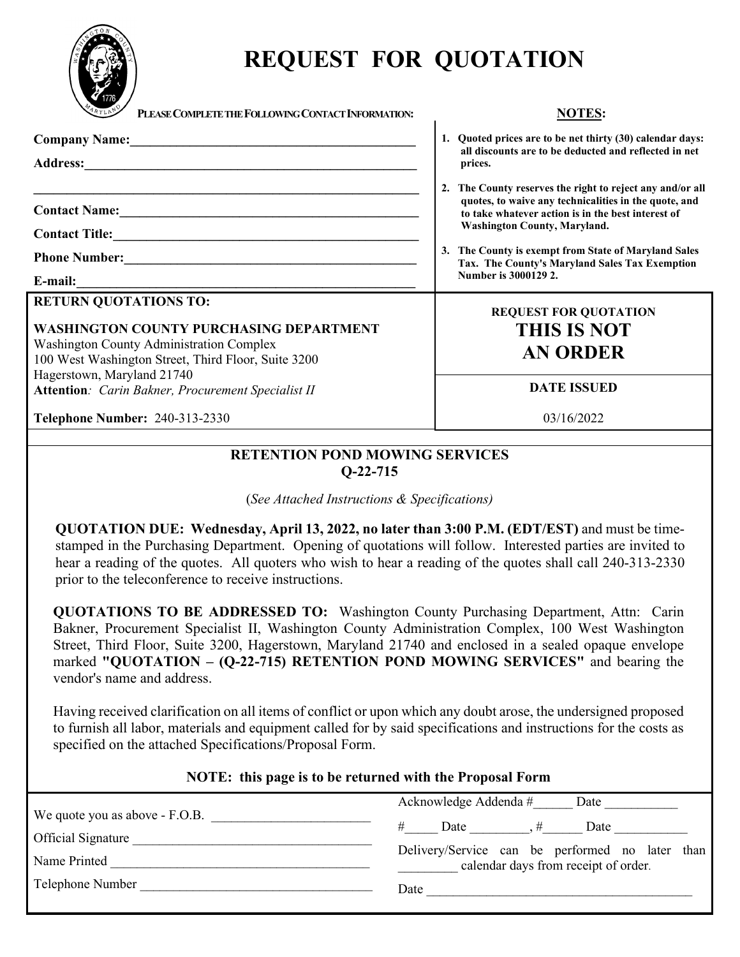

# **REQUEST FOR QUOTATION**

| <b>ARYLAN</b><br>PLEASE COMPLETE THE FOLLOWING CONTACT INFORMATION:                                                                                                                                                                                                          | <b>NOTES:</b>                                                                                                                                                                                                                                                                                                                                     |
|------------------------------------------------------------------------------------------------------------------------------------------------------------------------------------------------------------------------------------------------------------------------------|---------------------------------------------------------------------------------------------------------------------------------------------------------------------------------------------------------------------------------------------------------------------------------------------------------------------------------------------------|
| Company Name: 2008<br><b>Address:</b><br><u> 1989 - Johann John Stone, markin film yn y brening yn y brening yn y brening yn y brening yn y brening y bre</u>                                                                                                                | 1. Quoted prices are to be net thirty (30) calendar days:<br>all discounts are to be deducted and reflected in net<br>prices.                                                                                                                                                                                                                     |
| <u> 1990 - Jan James John Harry John Harry John Harry John Harry John Harry John Harry John Harry John Harry John Harry John Harry John Harry John Harry John Harry John Harry John Harry John Harry John Harry John Harry John </u><br>E-mail:                              | 2. The County reserves the right to reject any and/or all<br>quotes, to waive any technicalities in the quote, and<br>to take whatever action is in the best interest of<br><b>Washington County, Maryland.</b><br>3. The County is exempt from State of Maryland Sales<br>Tax. The County's Maryland Sales Tax Exemption<br>Number is 3000129 2. |
| <b>RETURN QUOTATIONS TO:</b><br><b>WASHINGTON COUNTY PURCHASING DEPARTMENT</b><br><b>Washington County Administration Complex</b><br>100 West Washington Street, Third Floor, Suite 3200<br>Hagerstown, Maryland 21740<br>Attention: Carin Bakner, Procurement Specialist II | <b>REQUEST FOR QUOTATION</b><br><b>THIS IS NOT</b><br><b>AN ORDER</b><br><b>DATE ISSUED</b>                                                                                                                                                                                                                                                       |
| <b>Telephone Number: 240-313-2330</b>                                                                                                                                                                                                                                        | 03/16/2022                                                                                                                                                                                                                                                                                                                                        |

## **RETENTION POND MOWING SERVICES Q-22-715**

(*See Attached Instructions & Specifications)*

**QUOTATION DUE: Wednesday, April 13, 2022, no later than 3:00 P.M. (EDT/EST)** and must be timestamped in the Purchasing Department. Opening of quotations will follow. Interested parties are invited to hear a reading of the quotes. All quoters who wish to hear a reading of the quotes shall call 240-313-2330 prior to the teleconference to receive instructions.

**QUOTATIONS TO BE ADDRESSED TO:** Washington County Purchasing Department, Attn: Carin Bakner, Procurement Specialist II, Washington County Administration Complex, 100 West Washington Street, Third Floor, Suite 3200, Hagerstown, Maryland 21740 and enclosed in a sealed opaque envelope marked **"QUOTATION – (Q-22-715) RETENTION POND MOWING SERVICES"** and bearing the vendor's name and address.

Having received clarification on all items of conflict or upon which any doubt arose, the undersigned proposed to furnish all labor, materials and equipment called for by said specifications and instructions for the costs as specified on the attached Specifications/Proposal Form.

## **NOTE: this page is to be returned with the Proposal Form**

|                                                             |      | Acknowledge Addenda # |  | Date                                                                                    |  |  |
|-------------------------------------------------------------|------|-----------------------|--|-----------------------------------------------------------------------------------------|--|--|
| We quote you as above - F.O.B.<br><b>Official Signature</b> |      | Date                  |  | Date                                                                                    |  |  |
| Name Printed                                                |      |                       |  | Delivery/Service can be performed no later than<br>calendar days from receipt of order. |  |  |
| Telephone Number                                            | Date |                       |  |                                                                                         |  |  |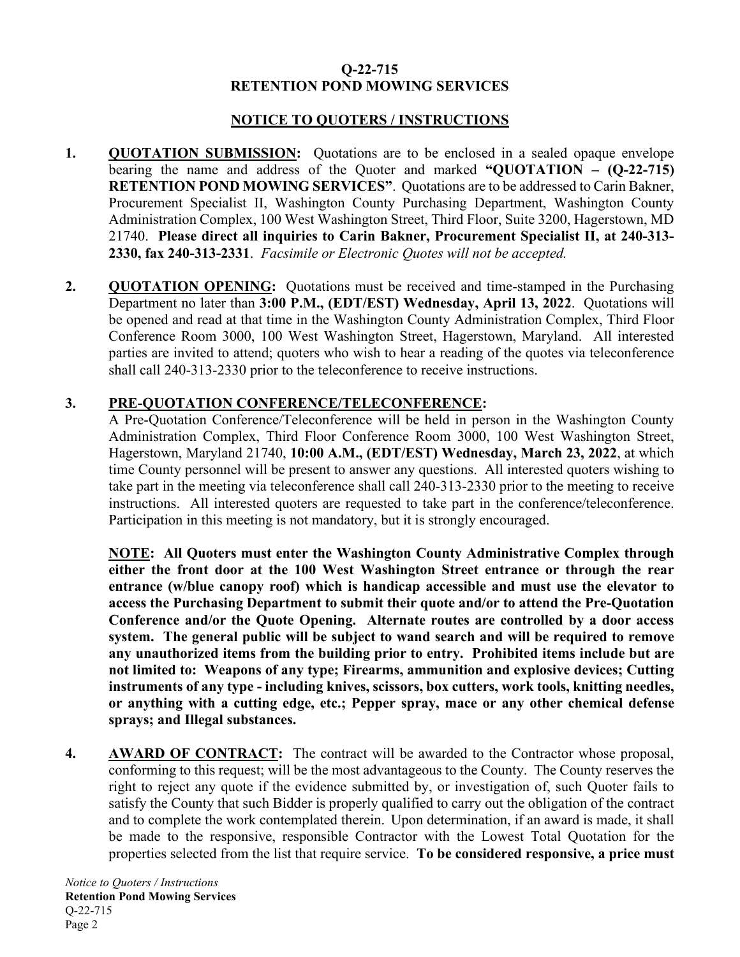## **NOTICE TO QUOTERS / INSTRUCTIONS**

- **1. QUOTATION SUBMISSION:** Quotations are to be enclosed in a sealed opaque envelope bearing the name and address of the Quoter and marked **"QUOTATION – (Q-22-715) RETENTION POND MOWING SERVICES"**. Quotations are to be addressed to Carin Bakner, Procurement Specialist II, Washington County Purchasing Department, Washington County Administration Complex, 100 West Washington Street, Third Floor, Suite 3200, Hagerstown, MD 21740. **Please direct all inquiries to Carin Bakner, Procurement Specialist II, at 240-313- 2330, fax 240-313-2331**. *Facsimile or Electronic Quotes will not be accepted.*
- **2. QUOTATION OPENING:** Quotations must be received and time-stamped in the Purchasing Department no later than **3:00 P.M., (EDT/EST) Wednesday, April 13, 2022**. Quotations will be opened and read at that time in the Washington County Administration Complex, Third Floor Conference Room 3000, 100 West Washington Street, Hagerstown, Maryland. All interested parties are invited to attend; quoters who wish to hear a reading of the quotes via teleconference shall call 240-313-2330 prior to the teleconference to receive instructions.

## **3. PRE-QUOTATION CONFERENCE/TELECONFERENCE:**

A Pre-Quotation Conference/Teleconference will be held in person in the Washington County Administration Complex, Third Floor Conference Room 3000, 100 West Washington Street, Hagerstown, Maryland 21740, **10:00 A.M., (EDT/EST) Wednesday, March 23, 2022**, at which time County personnel will be present to answer any questions. All interested quoters wishing to take part in the meeting via teleconference shall call 240-313-2330 prior to the meeting to receive instructions. All interested quoters are requested to take part in the conference/teleconference. Participation in this meeting is not mandatory, but it is strongly encouraged.

**NOTE: All Quoters must enter the Washington County Administrative Complex through either the front door at the 100 West Washington Street entrance or through the rear entrance (w/blue canopy roof) which is handicap accessible and must use the elevator to access the Purchasing Department to submit their quote and/or to attend the Pre-Quotation Conference and/or the Quote Opening. Alternate routes are controlled by a door access system. The general public will be subject to wand search and will be required to remove any unauthorized items from the building prior to entry. Prohibited items include but are not limited to: Weapons of any type; Firearms, ammunition and explosive devices; Cutting instruments of any type - including knives, scissors, box cutters, work tools, knitting needles, or anything with a cutting edge, etc.; Pepper spray, mace or any other chemical defense sprays; and Illegal substances.**

**4. AWARD OF CONTRACT:** The contract will be awarded to the Contractor whose proposal, conforming to this request; will be the most advantageous to the County. The County reserves the right to reject any quote if the evidence submitted by, or investigation of, such Quoter fails to satisfy the County that such Bidder is properly qualified to carry out the obligation of the contract and to complete the work contemplated therein. Upon determination, if an award is made, it shall be made to the responsive, responsible Contractor with the Lowest Total Quotation for the properties selected from the list that require service. **To be considered responsive, a price must**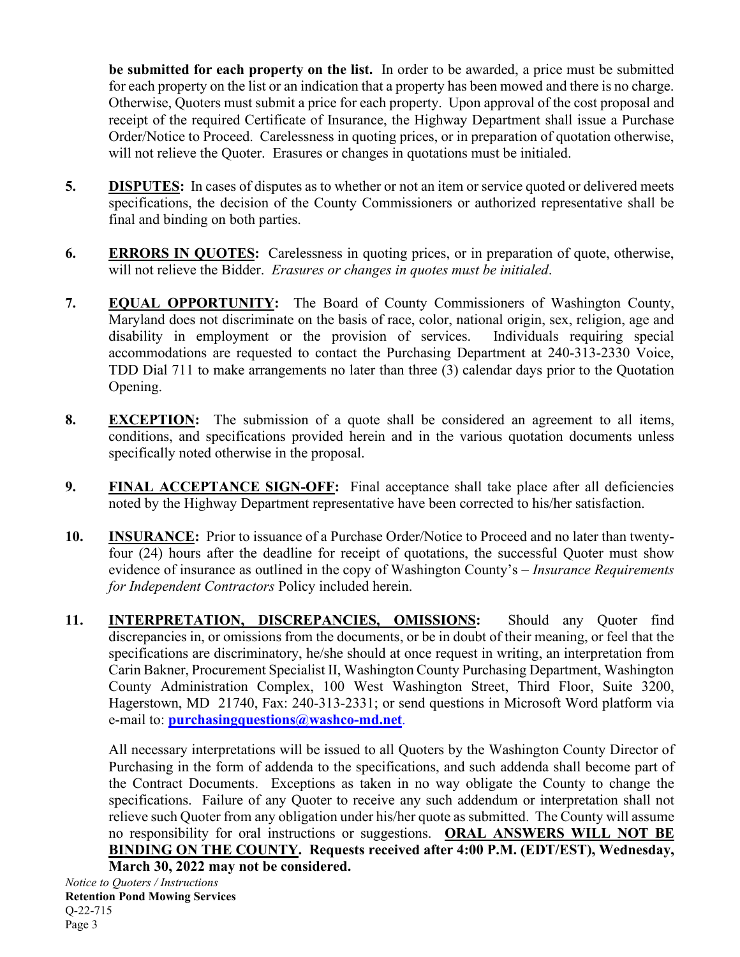**be submitted for each property on the list.** In order to be awarded, a price must be submitted for each property on the list or an indication that a property has been mowed and there is no charge. Otherwise, Quoters must submit a price for each property. Upon approval of the cost proposal and receipt of the required Certificate of Insurance, the Highway Department shall issue a Purchase Order/Notice to Proceed. Carelessness in quoting prices, or in preparation of quotation otherwise, will not relieve the Quoter. Erasures or changes in quotations must be initialed.

- **5. DISPUTES:** In cases of disputes as to whether or not an item or service quoted or delivered meets specifications, the decision of the County Commissioners or authorized representative shall be final and binding on both parties.
- **6. ERRORS IN QUOTES:** Carelessness in quoting prices, or in preparation of quote, otherwise, will not relieve the Bidder. *Erasures or changes in quotes must be initialed*.
- **7. EQUAL OPPORTUNITY:** The Board of County Commissioners of Washington County, Maryland does not discriminate on the basis of race, color, national origin, sex, religion, age and disability in employment or the provision of services. Individuals requiring special accommodations are requested to contact the Purchasing Department at 240-313-2330 Voice, TDD Dial 711 to make arrangements no later than three (3) calendar days prior to the Quotation Opening.
- **8. EXCEPTION:** The submission of a quote shall be considered an agreement to all items, conditions, and specifications provided herein and in the various quotation documents unless specifically noted otherwise in the proposal.
- **9. FINAL ACCEPTANCE SIGN-OFF:** Final acceptance shall take place after all deficiencies noted by the Highway Department representative have been corrected to his/her satisfaction.
- **10. INSURANCE:** Prior to issuance of a Purchase Order/Notice to Proceed and no later than twentyfour (24) hours after the deadline for receipt of quotations, the successful Quoter must show evidence of insurance as outlined in the copy of Washington County's – *Insurance Requirements for Independent Contractors* Policy included herein.
- **11. INTERPRETATION, DISCREPANCIES, OMISSIONS:** Should any Quoter find discrepancies in, or omissions from the documents, or be in doubt of their meaning, or feel that the specifications are discriminatory, he/she should at once request in writing, an interpretation from Carin Bakner, Procurement Specialist II, Washington County Purchasing Department, Washington County Administration Complex, 100 West Washington Street, Third Floor, Suite 3200, Hagerstown, MD 21740, Fax: 240-313-2331; or send questions in Microsoft Word platform via e-mail to: **[purchasingquestions@washco-md.net](mailto:purchasingquestions@washco-md.net)**.

All necessary interpretations will be issued to all Quoters by the Washington County Director of Purchasing in the form of addenda to the specifications, and such addenda shall become part of the Contract Documents. Exceptions as taken in no way obligate the County to change the specifications. Failure of any Quoter to receive any such addendum or interpretation shall not relieve such Quoter from any obligation under his/her quote as submitted. The County will assume no responsibility for oral instructions or suggestions. **ORAL ANSWERS WILL NOT BE BINDING ON THE COUNTY. Requests received after 4:00 P.M. (EDT/EST), Wednesday, March 30, 2022 may not be considered.**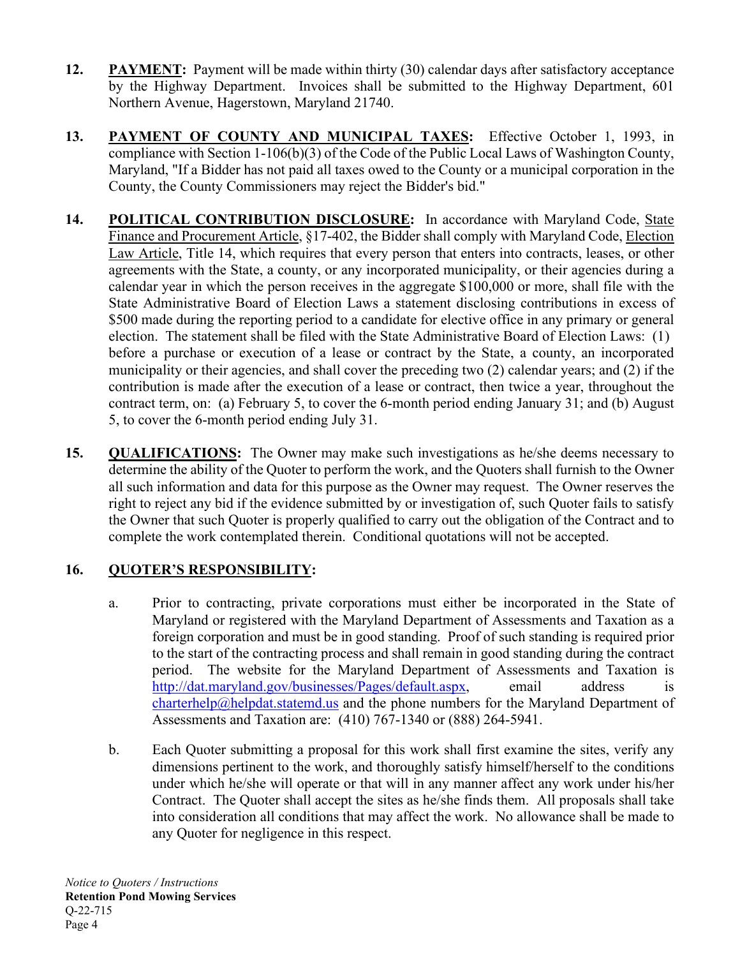- **12. PAYMENT:** Payment will be made within thirty (30) calendar days after satisfactory acceptance by the Highway Department. Invoices shall be submitted to the Highway Department, 601 Northern Avenue, Hagerstown, Maryland 21740.
- **13. PAYMENT OF COUNTY AND MUNICIPAL TAXES:** Effective October 1, 1993, in compliance with Section 1-106(b)(3) of the Code of the Public Local Laws of Washington County, Maryland, "If a Bidder has not paid all taxes owed to the County or a municipal corporation in the County, the County Commissioners may reject the Bidder's bid."
- **14. POLITICAL CONTRIBUTION DISCLOSURE:** In accordance with Maryland Code, State Finance and Procurement Article, §17-402, the Bidder shall comply with Maryland Code, Election Law Article, Title 14, which requires that every person that enters into contracts, leases, or other agreements with the State, a county, or any incorporated municipality, or their agencies during a calendar year in which the person receives in the aggregate \$100,000 or more, shall file with the State Administrative Board of Election Laws a statement disclosing contributions in excess of \$500 made during the reporting period to a candidate for elective office in any primary or general election. The statement shall be filed with the State Administrative Board of Election Laws: (1) before a purchase or execution of a lease or contract by the State, a county, an incorporated municipality or their agencies, and shall cover the preceding two (2) calendar years; and (2) if the contribution is made after the execution of a lease or contract, then twice a year, throughout the contract term, on: (a) February 5, to cover the 6-month period ending January 31; and (b) August 5, to cover the 6-month period ending July 31.
- **15. QUALIFICATIONS:** The Owner may make such investigations as he/she deems necessary to determine the ability of the Quoter to perform the work, and the Quoters shall furnish to the Owner all such information and data for this purpose as the Owner may request. The Owner reserves the right to reject any bid if the evidence submitted by or investigation of, such Quoter fails to satisfy the Owner that such Quoter is properly qualified to carry out the obligation of the Contract and to complete the work contemplated therein. Conditional quotations will not be accepted.

# **16. QUOTER'S RESPONSIBILITY:**

- a. Prior to contracting, private corporations must either be incorporated in the State of Maryland or registered with the Maryland Department of Assessments and Taxation as a foreign corporation and must be in good standing. Proof of such standing is required prior to the start of the contracting process and shall remain in good standing during the contract period. The website for the Maryland Department of Assessments and Taxation is [http://dat.maryland.gov/businesses/Pages/default.aspx,](http://dat.maryland.gov/businesses/Pages/default.aspx) email address is  $charterhelp@helpdat.statemd.us and the phone numbers for the Maryland Department of$  $charterhelp@helpdat.statemd.us and the phone numbers for the Maryland Department of$ Assessments and Taxation are: (410) 767-1340 or (888) 264-5941.
- b. Each Quoter submitting a proposal for this work shall first examine the sites, verify any dimensions pertinent to the work, and thoroughly satisfy himself/herself to the conditions under which he/she will operate or that will in any manner affect any work under his/her Contract. The Quoter shall accept the sites as he/she finds them. All proposals shall take into consideration all conditions that may affect the work. No allowance shall be made to any Quoter for negligence in this respect.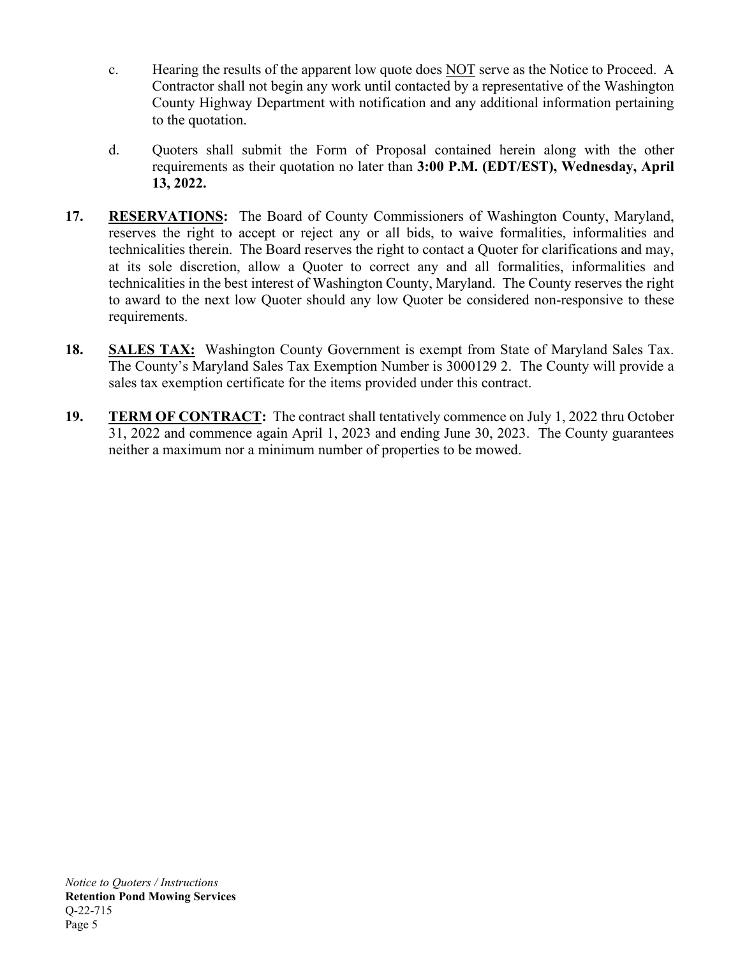- c. Hearing the results of the apparent low quote does NOT serve as the Notice to Proceed. A Contractor shall not begin any work until contacted by a representative of the Washington County Highway Department with notification and any additional information pertaining to the quotation.
- d. Quoters shall submit the Form of Proposal contained herein along with the other requirements as their quotation no later than **3:00 P.M. (EDT/EST), Wednesday, April 13, 2022.**
- **17. RESERVATIONS:** The Board of County Commissioners of Washington County, Maryland, reserves the right to accept or reject any or all bids, to waive formalities, informalities and technicalities therein. The Board reserves the right to contact a Quoter for clarifications and may, at its sole discretion, allow a Quoter to correct any and all formalities, informalities and technicalities in the best interest of Washington County, Maryland. The County reserves the right to award to the next low Quoter should any low Quoter be considered non-responsive to these requirements.
- **18. SALES TAX:** Washington County Government is exempt from State of Maryland Sales Tax. The County's Maryland Sales Tax Exemption Number is 3000129 2. The County will provide a sales tax exemption certificate for the items provided under this contract.
- **19. TERM OF CONTRACT:** The contract shall tentatively commence on July 1, 2022 thru October 31, 2022 and commence again April 1, 2023 and ending June 30, 2023. The County guarantees neither a maximum nor a minimum number of properties to be mowed.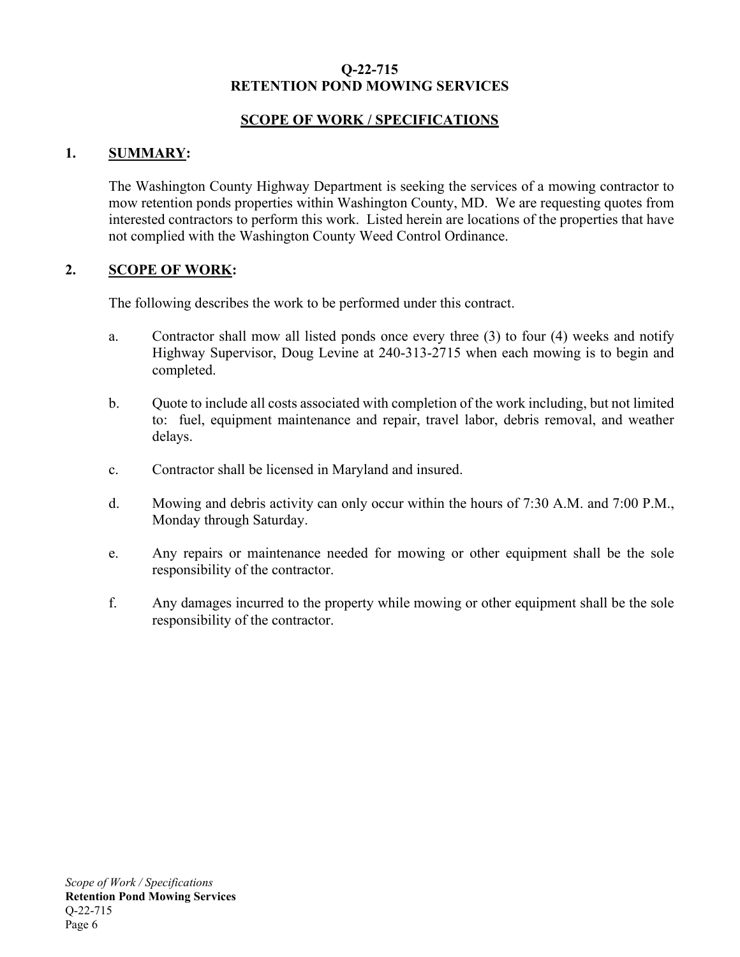## **SCOPE OF WORK / SPECIFICATIONS**

## **1. SUMMARY:**

The Washington County Highway Department is seeking the services of a mowing contractor to mow retention ponds properties within Washington County, MD. We are requesting quotes from interested contractors to perform this work. Listed herein are locations of the properties that have not complied with the Washington County Weed Control Ordinance.

## **2. SCOPE OF WORK:**

The following describes the work to be performed under this contract.

- a. Contractor shall mow all listed ponds once every three (3) to four (4) weeks and notify Highway Supervisor, Doug Levine at 240-313-2715 when each mowing is to begin and completed.
- b. Quote to include all costs associated with completion of the work including, but not limited to: fuel, equipment maintenance and repair, travel labor, debris removal, and weather delays.
- c. Contractor shall be licensed in Maryland and insured.
- d. Mowing and debris activity can only occur within the hours of 7:30 A.M. and 7:00 P.M., Monday through Saturday.
- e. Any repairs or maintenance needed for mowing or other equipment shall be the sole responsibility of the contractor.
- f. Any damages incurred to the property while mowing or other equipment shall be the sole responsibility of the contractor.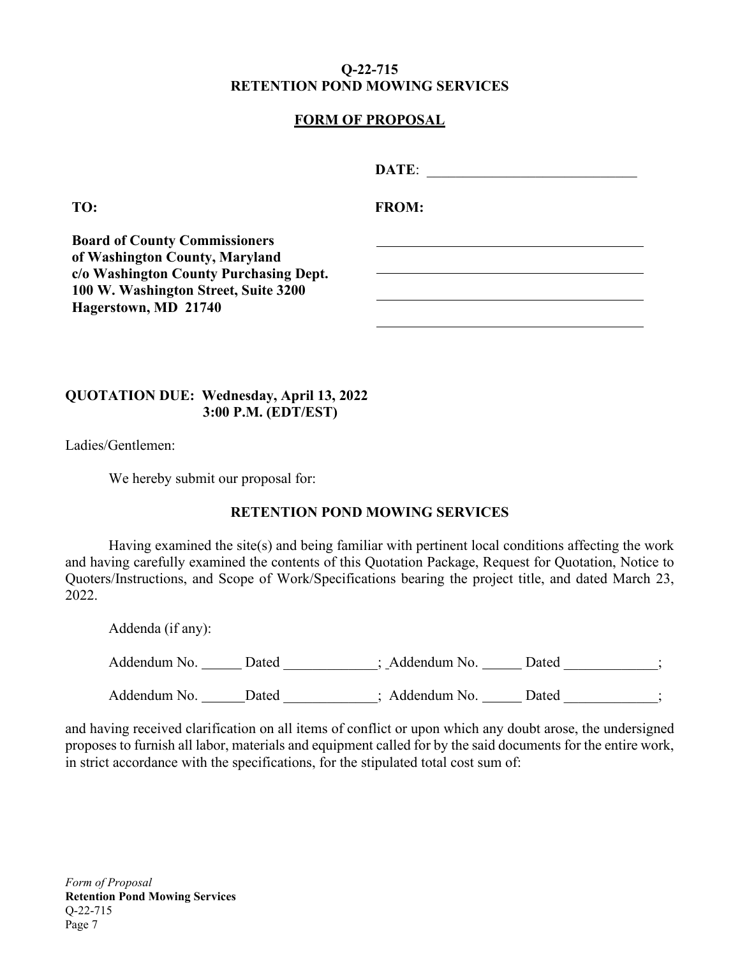# **FORM OF PROPOSAL**

**TO: FROM:**

**Board of County Commissioners of Washington County, Maryland c/o Washington County Purchasing Dept. 100 W. Washington Street, Suite 3200 Hagerstown, MD 21740**

## **QUOTATION DUE: Wednesday, April 13, 2022 3:00 P.M. (EDT/EST)**

Ladies/Gentlemen:

We hereby submit our proposal for:

### **RETENTION POND MOWING SERVICES**

Having examined the site(s) and being familiar with pertinent local conditions affecting the work and having carefully examined the contents of this Quotation Package, Request for Quotation, Notice to Quoters/Instructions, and Scope of Work/Specifications bearing the project title, and dated March 23, 2022.

| Addenda (if any): |       |                |       |  |
|-------------------|-------|----------------|-------|--|
| Addendum No.      | Dated | ; Addendum No. | Dated |  |
| Addendum No.      | Dated | ; Addendum No. | Dated |  |

and having received clarification on all items of conflict or upon which any doubt arose, the undersigned proposes to furnish all labor, materials and equipment called for by the said documents for the entire work, in strict accordance with the specifications, for the stipulated total cost sum of: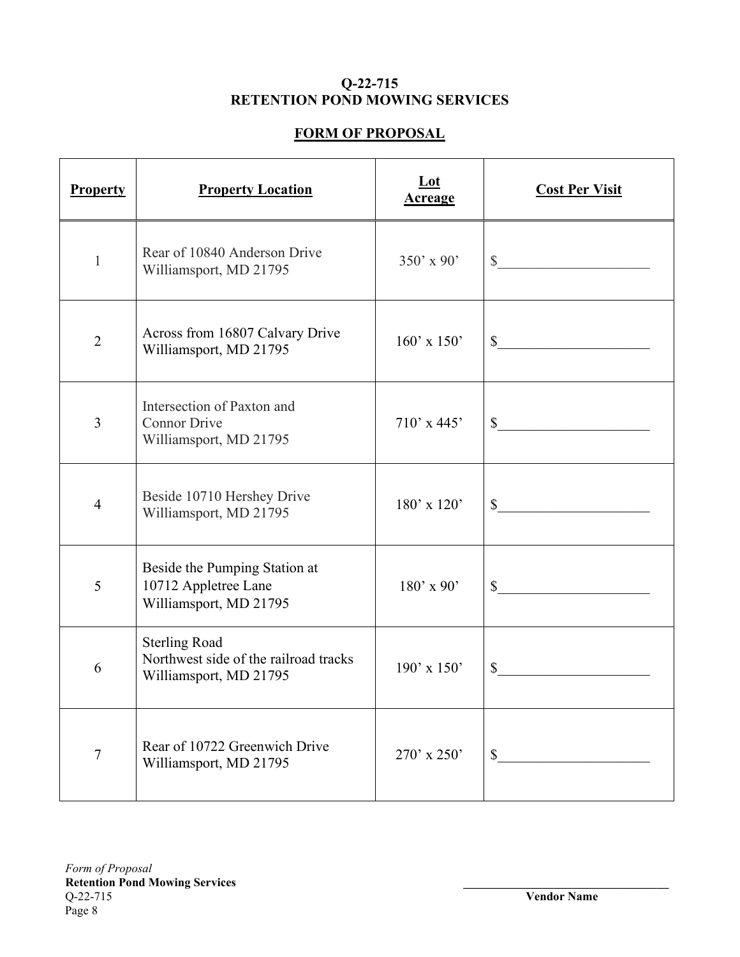# **FORM OF PROPOSAL**

| <b>Property</b> | <b>Property Location</b>                                                                | $Let$<br><b>Acreage</b> | <b>Cost Per Visit</b>       |
|-----------------|-----------------------------------------------------------------------------------------|-------------------------|-----------------------------|
| 1               | Rear of 10840 Anderson Drive<br>Williamsport, MD 21795                                  | $350'$ x 90'            | $\mathbb{S}$                |
| $\overline{2}$  | Across from 16807 Calvary Drive<br>Williamsport, MD 21795                               | $160'$ x $150'$         | $\frac{1}{2}$               |
| $\overline{3}$  | Intersection of Paxton and<br><b>Connor Drive</b><br>Williamsport, MD 21795             | $710'$ x 445'           | s                           |
| $\overline{4}$  | Beside 10710 Hershey Drive<br>Williamsport, MD 21795                                    | $180'$ x $120'$         | $\mathbb{S}$                |
| 5               | Beside the Pumping Station at<br>10712 Appletree Lane<br>Williamsport, MD 21795         | $180'$ x 90'            | $\frac{\text{S}}{\text{S}}$ |
| 6               | <b>Sterling Road</b><br>Northwest side of the railroad tracks<br>Williamsport, MD 21795 | $190'$ x $150'$         | \$                          |
| 7               | Rear of 10722 Greenwich Drive<br>Williamsport, MD 21795                                 | $270'$ x $250'$         | $\mathbb{S}$                |

**Vendor Name**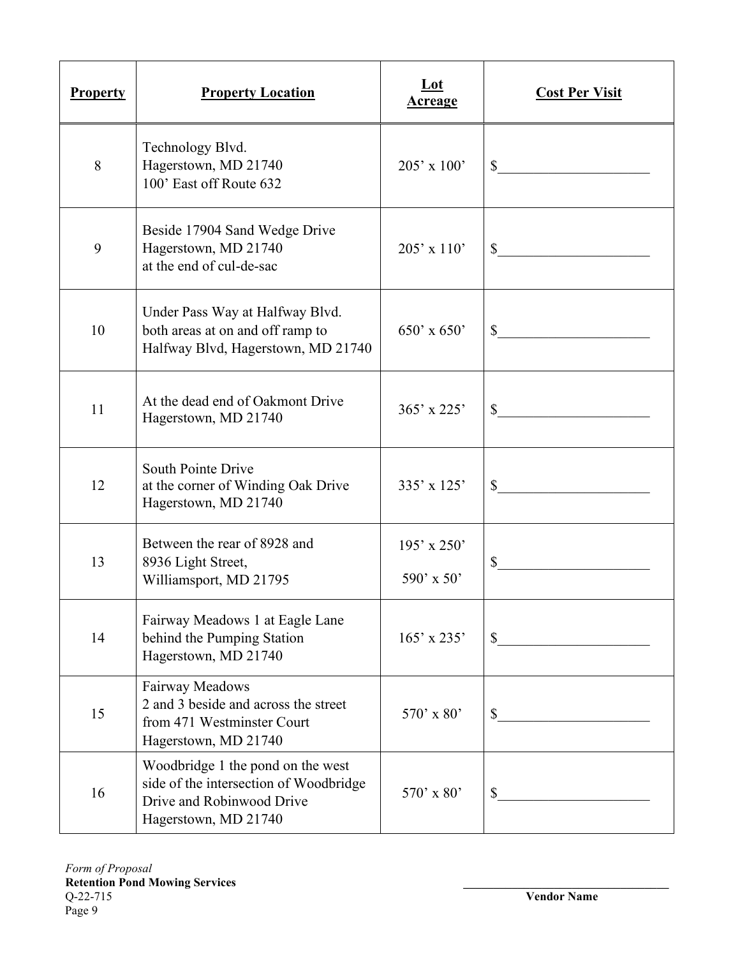| <b>Property</b> | <b>Property Location</b>                                                                                                         | Lot<br><u>Acreage</u>         | <b>Cost Per Visit</b>                             |
|-----------------|----------------------------------------------------------------------------------------------------------------------------------|-------------------------------|---------------------------------------------------|
| 8               | Technology Blvd.<br>Hagerstown, MD 21740<br>100' East off Route 632                                                              | $205' \times 100'$            | $\mathbb{S}^-$<br><u> 1980 - Andrea State</u>     |
| 9               | Beside 17904 Sand Wedge Drive<br>Hagerstown, MD 21740<br>at the end of cul-de-sac                                                | $205' \times 110'$            | $\mathbb{S}$                                      |
| 10              | Under Pass Way at Halfway Blvd.<br>both areas at on and off ramp to<br>Halfway Blvd, Hagerstown, MD 21740                        | $650'$ x $650'$               | \$<br><u> 1989 - Jan Barbara III, prima posta</u> |
| 11              | At the dead end of Oakmont Drive<br>Hagerstown, MD 21740                                                                         | $365'$ x 225'                 | \$                                                |
| 12              | South Pointe Drive<br>at the corner of Winding Oak Drive<br>Hagerstown, MD 21740                                                 | $335' \times 125'$            | $\mathbb{S}^-$                                    |
| 13              | Between the rear of 8928 and<br>8936 Light Street,<br>Williamsport, MD 21795                                                     | $195'$ x $250'$<br>590' x 50' | \$<br><u> 1990 - Johann Barbara, martxa a</u>     |
| 14              | Fairway Meadows 1 at Eagle Lane<br>behind the Pumping Station<br>Hagerstown, MD 21740                                            | $165'$ x 235'                 | $\mathbb{S}$                                      |
| 15              | Fairway Meadows<br>2 and 3 beside and across the street<br>from 471 Westminster Court<br>Hagerstown, MD 21740                    | $570'$ x 80'                  | \$                                                |
| 16              | Woodbridge 1 the pond on the west<br>side of the intersection of Woodbridge<br>Drive and Robinwood Drive<br>Hagerstown, MD 21740 | $570'$ x 80'                  | \$                                                |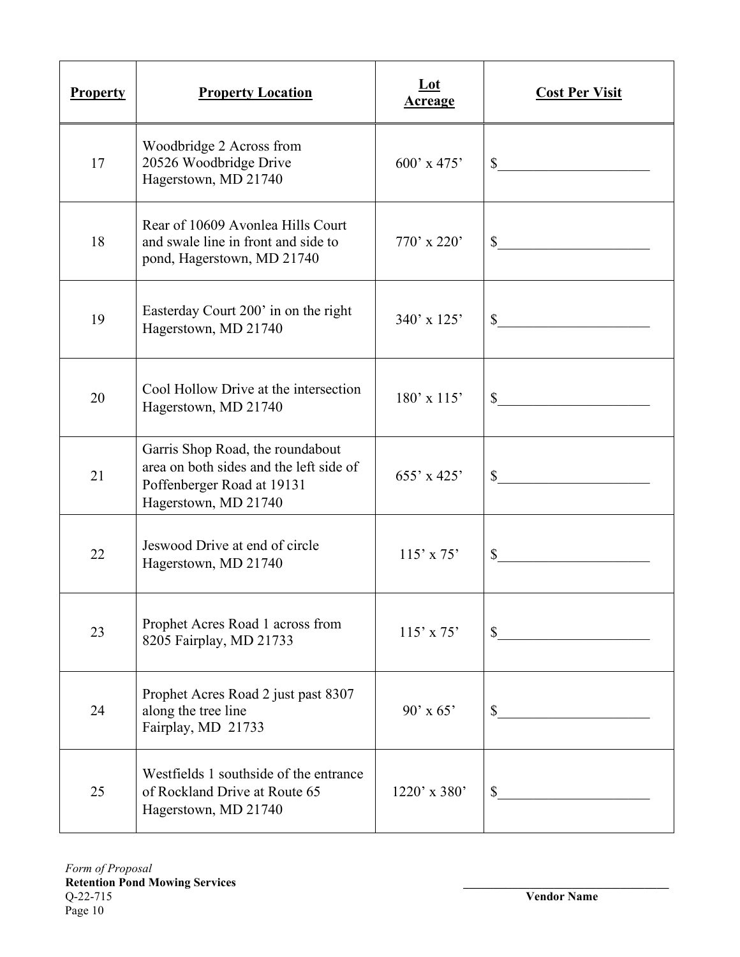| <b>Property</b> | <b>Property Location</b>                                                                                                          | Lot<br><b>Acreage</b> | <b>Cost Per Visit</b>                                          |
|-----------------|-----------------------------------------------------------------------------------------------------------------------------------|-----------------------|----------------------------------------------------------------|
| 17              | Woodbridge 2 Across from<br>20526 Woodbridge Drive<br>Hagerstown, MD 21740                                                        | $600'$ x 475'         | $\mathbb{S}$                                                   |
| 18              | Rear of 10609 Avonlea Hills Court<br>and swale line in front and side to<br>pond, Hagerstown, MD 21740                            | $770'$ x 220'         | $\mathbb{S}$<br><u> 1989 - Johann Stein, marwolaethau a bh</u> |
| 19              | Easterday Court 200' in on the right<br>Hagerstown, MD 21740                                                                      | $340'$ x 125'         | <u> 1989 - Johann Barbara, martxa</u>                          |
| 20              | Cool Hollow Drive at the intersection<br>Hagerstown, MD 21740                                                                     | $180'$ x $115'$       | $\frac{\sqrt{2}}{2}$                                           |
| 21              | Garris Shop Road, the roundabout<br>area on both sides and the left side of<br>Poffenberger Road at 19131<br>Hagerstown, MD 21740 | $655'$ x 425'         |                                                                |
| 22              | Jeswood Drive at end of circle<br>Hagerstown, MD 21740                                                                            | $115'$ x 75'          | \$                                                             |
| 23              | Prophet Acres Road 1 across from<br>8205 Fairplay, MD 21733                                                                       | $115'$ x 75'          | $\mathbb{S}$                                                   |
| 24              | Prophet Acres Road 2 just past 8307<br>along the tree line<br>Fairplay, MD 21733                                                  | $90'$ x 65'           |                                                                |
| 25              | Westfields 1 southside of the entrance<br>of Rockland Drive at Route 65<br>Hagerstown, MD 21740                                   | $1220'$ x 380'        |                                                                |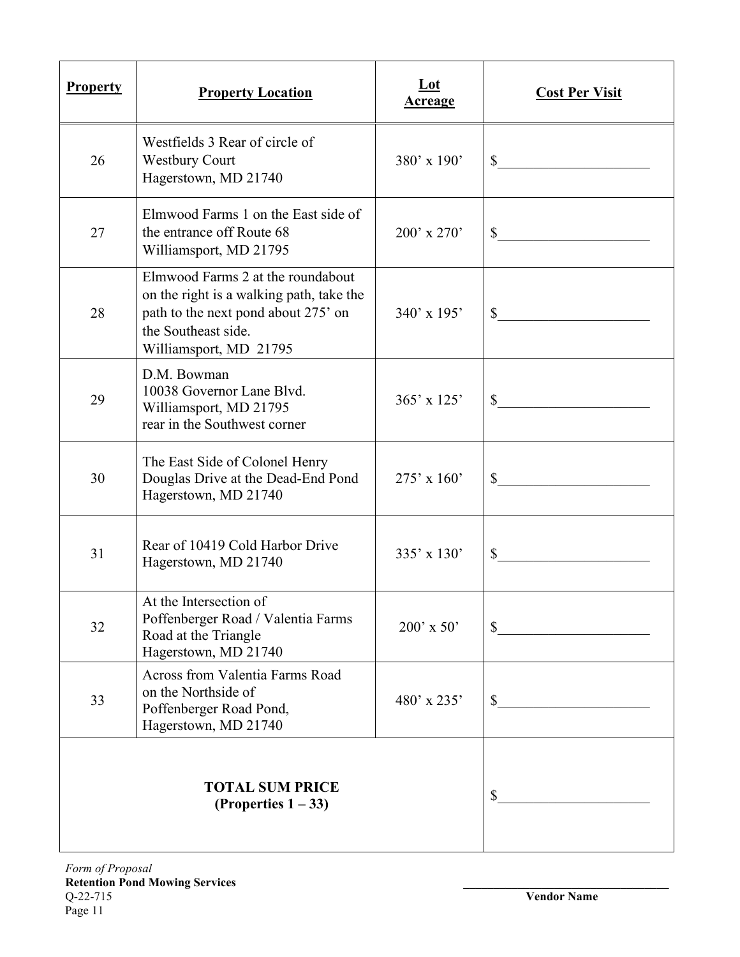| <b>Property</b> | <b>Property Location</b>                                                                                                                                              | $Let$<br><b>Acreage</b> | <b>Cost Per Visit</b>                                 |
|-----------------|-----------------------------------------------------------------------------------------------------------------------------------------------------------------------|-------------------------|-------------------------------------------------------|
| 26              | Westfields 3 Rear of circle of<br><b>Westbury Court</b><br>Hagerstown, MD 21740                                                                                       | $380'$ x $190'$         | \$<br><u> 1980 - Jan Barbara Barat, manala</u>        |
| 27              | Elmwood Farms 1 on the East side of<br>the entrance off Route 68<br>Williamsport, MD 21795                                                                            | $200'$ x $270'$         | \$<br><u> 1989 - Johann Barnett, fransk politik (</u> |
| 28              | Elmwood Farms 2 at the roundabout<br>on the right is a walking path, take the<br>path to the next pond about 275' on<br>the Southeast side.<br>Williamsport, MD 21795 | $340'$ x 195'           |                                                       |
| 29              | D.M. Bowman<br>10038 Governor Lane Blvd.<br>Williamsport, MD 21795<br>rear in the Southwest corner                                                                    | $365' \times 125'$      | $\sim$                                                |
| 30              | The East Side of Colonel Henry<br>Douglas Drive at the Dead-End Pond<br>Hagerstown, MD 21740                                                                          | $275'$ x 160'           | \$                                                    |
| 31              | Rear of 10419 Cold Harbor Drive<br>Hagerstown, MD 21740                                                                                                               | $335' \times 130'$      | \$                                                    |
| 32              | At the Intersection of<br>Poffenberger Road / Valentia Farms<br>Road at the Triangle<br>Hagerstown, MD 21740                                                          | $200'$ x 50'            | \$                                                    |
| 33              | Across from Valentia Farms Road<br>on the Northside of<br>Poffenberger Road Pond,<br>Hagerstown, MD 21740                                                             | 480' x 235'             | $\mathbb{S}$                                          |
|                 | <b>TOTAL SUM PRICE</b><br>(Properties $1-33$ )                                                                                                                        |                         | \$                                                    |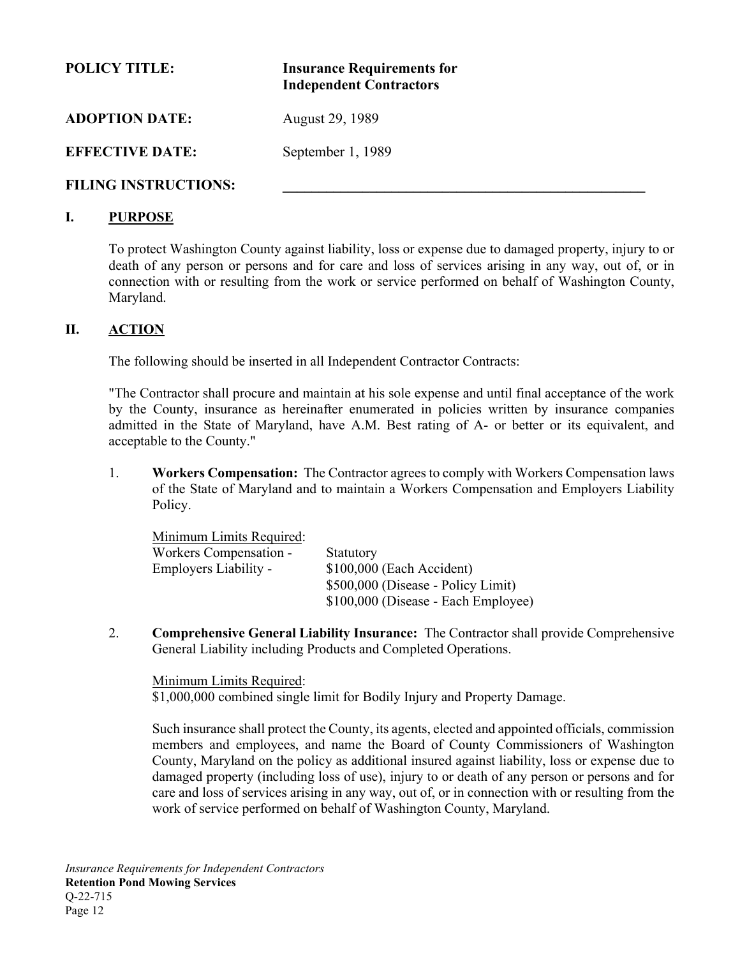| <b>POLICY TITLE:</b>        | <b>Insurance Requirements for</b><br><b>Independent Contractors</b> |
|-----------------------------|---------------------------------------------------------------------|
| <b>ADOPTION DATE:</b>       | August 29, 1989                                                     |
| <b>EFFECTIVE DATE:</b>      | September 1, 1989                                                   |
| <b>FILING INSTRUCTIONS:</b> |                                                                     |

#### **I. PURPOSE**

To protect Washington County against liability, loss or expense due to damaged property, injury to or death of any person or persons and for care and loss of services arising in any way, out of, or in connection with or resulting from the work or service performed on behalf of Washington County, Maryland.

#### **II. ACTION**

The following should be inserted in all Independent Contractor Contracts:

"The Contractor shall procure and maintain at his sole expense and until final acceptance of the work by the County, insurance as hereinafter enumerated in policies written by insurance companies admitted in the State of Maryland, have A.M. Best rating of A- or better or its equivalent, and acceptable to the County."

1. **Workers Compensation:** The Contractor agrees to comply with Workers Compensation laws of the State of Maryland and to maintain a Workers Compensation and Employers Liability Policy.

| Minimum Limits Required: |                                     |
|--------------------------|-------------------------------------|
| Workers Compensation -   | <b>Statutory</b>                    |
| Employers Liability -    | \$100,000 (Each Accident)           |
|                          | \$500,000 (Disease - Policy Limit)  |
|                          | \$100,000 (Disease - Each Employee) |

2. **Comprehensive General Liability Insurance:** The Contractor shall provide Comprehensive General Liability including Products and Completed Operations.

Minimum Limits Required: \$1,000,000 combined single limit for Bodily Injury and Property Damage.

Such insurance shall protect the County, its agents, elected and appointed officials, commission members and employees, and name the Board of County Commissioners of Washington County, Maryland on the policy as additional insured against liability, loss or expense due to damaged property (including loss of use), injury to or death of any person or persons and for care and loss of services arising in any way, out of, or in connection with or resulting from the work of service performed on behalf of Washington County, Maryland.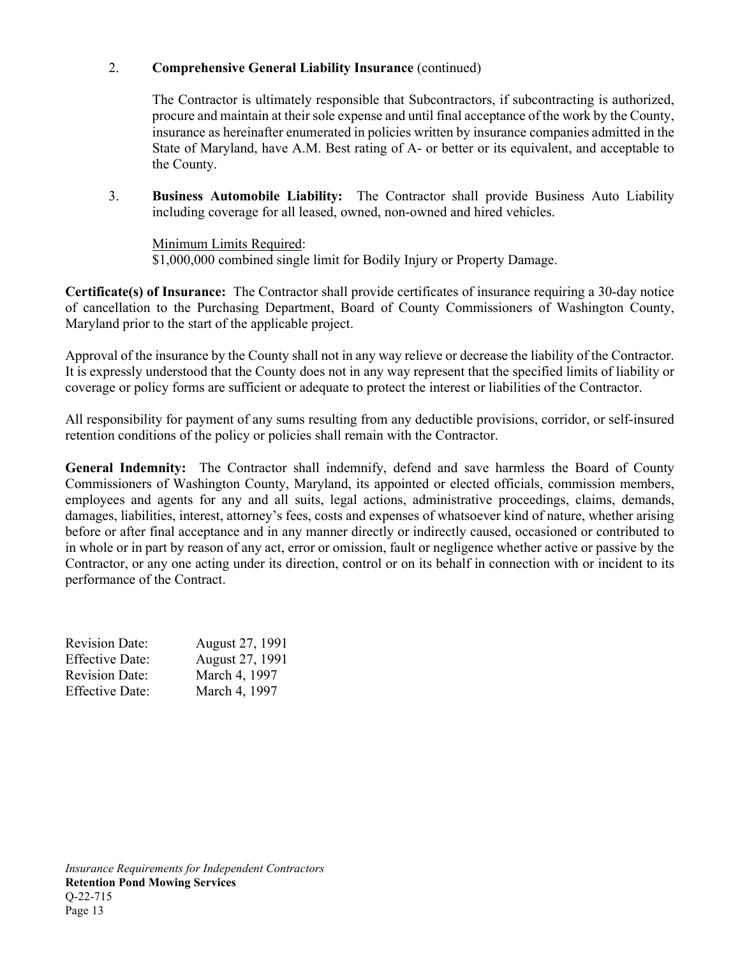### 2. **Comprehensive General Liability Insurance** (continued)

The Contractor is ultimately responsible that Subcontractors, if subcontracting is authorized, procure and maintain at their sole expense and until final acceptance of the work by the County, insurance as hereinafter enumerated in policies written by insurance companies admitted in the State of Maryland, have A.M. Best rating of A- or better or its equivalent, and acceptable to the County.

3. **Business Automobile Liability:** The Contractor shall provide Business Auto Liability including coverage for all leased, owned, non-owned and hired vehicles.

Minimum Limits Required: \$1,000,000 combined single limit for Bodily Injury or Property Damage.

**Certificate(s) of Insurance:** The Contractor shall provide certificates of insurance requiring a 30-day notice of cancellation to the Purchasing Department, Board of County Commissioners of Washington County, Maryland prior to the start of the applicable project.

Approval of the insurance by the County shall not in any way relieve or decrease the liability of the Contractor. It is expressly understood that the County does not in any way represent that the specified limits of liability or coverage or policy forms are sufficient or adequate to protect the interest or liabilities of the Contractor.

All responsibility for payment of any sums resulting from any deductible provisions, corridor, or self-insured retention conditions of the policy or policies shall remain with the Contractor.

**General Indemnity:** The Contractor shall indemnify, defend and save harmless the Board of County Commissioners of Washington County, Maryland, its appointed or elected officials, commission members, employees and agents for any and all suits, legal actions, administrative proceedings, claims, demands, damages, liabilities, interest, attorney's fees, costs and expenses of whatsoever kind of nature, whether arising before or after final acceptance and in any manner directly or indirectly caused, occasioned or contributed to in whole or in part by reason of any act, error or omission, fault or negligence whether active or passive by the Contractor, or any one acting under its direction, control or on its behalf in connection with or incident to its performance of the Contract.

| <b>Revision Date:</b>  | August 27, 1991 |
|------------------------|-----------------|
| <b>Effective Date:</b> | August 27, 1991 |
| <b>Revision Date:</b>  | March 4, 1997   |
| <b>Effective Date:</b> | March 4, 1997   |